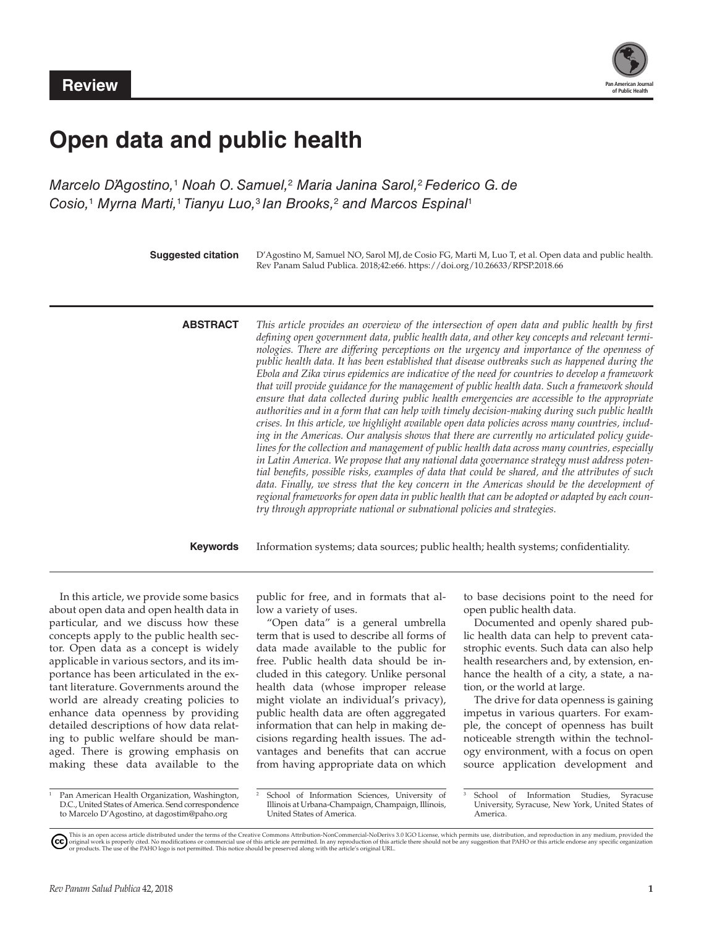

# **Open data and public health**

Marcelo D'Agostino,<sup>1</sup> Noah O. Samuel,<sup>2</sup> Maria Janina Sarol,<sup>2</sup> Federico G. de *Cosio,*<sup>1</sup>  *Myrna Marti,*<sup>1</sup> *Tianyu Luo,*<sup>3</sup> *Ian Brooks,*<sup>2</sup>  *and Marcos Espinal*<sup>1</sup>

> **Suggested citation** D'Agostino M, Samuel NO, Sarol MJ, de Cosio FG, Marti M, Luo T, et al. Open data and public health. Rev Panam Salud Publica. 2018;42:e66. <https://doi.org/10.26633/RPSP.2018.66>

**ABSTRACT** *This article provides an overview of the intersection of open data and public health by first defining open government data, public health data, and other key concepts and relevant termi*nologies. There are differing perceptions on the urgency and importance of the openness of *public health data. It has been established that disease outbreaks such as happened during the Ebola and Zika virus epidemics are indicative of the need for countries to develop a framework that will provide guidance for the management of public health data. Such a framework should ensure that data collected during public health emergencies are accessible to the appropriate authorities and in a form that can help with timely decision-making during such public health crises. In this article, we highlight available open data policies across many countries, including in the Americas. Our analysis shows that there are currently no articulated policy guidelines for the collection and management of public health data across many countries, especially in Latin America. We propose that any national data governance strategy must address potential benefits, possible risks, examples of data that could be shared, and the attributes of such*  data. Finally, we stress that the key concern in the Americas should be the development of *regional frameworks for open data in public health that can be adopted or adapted by each country through appropriate national or subnational policies and strategies.* 

**Keywords** Information systems; data sources; public health; health systems; confidentiality.

In this article, we provide some basics about open data and open health data in particular, and we discuss how these concepts apply to the public health sector. Open data as a concept is widely applicable in various sectors, and its importance has been articulated in the extant literature. Governments around the world are already creating policies to enhance data openness by providing detailed descriptions of how data relating to public welfare should be managed. There is growing emphasis on making these data available to the

<sup>1</sup> Pan American Health Organization, Washington, D.C., United States of America. Send correspondence to Marcelo D'Agostino, at [dagostim@paho.org](mailto:dagostim@paho.org)

public for free, and in formats that allow a variety of uses.

"Open data" is a general umbrella term that is used to describe all forms of data made available to the public for free. Public health data should be included in this category. Unlike personal health data (whose improper release might violate an individual's privacy), public health data are often aggregated information that can help in making decisions regarding health issues. The advantages and benefits that can accrue from having appropriate data on which to base decisions point to the need for open public health data.

Documented and openly shared public health data can help to prevent catastrophic events. Such data can also help health researchers and, by extension, enhance the health of a city, a state, a nation, or the world at large.

The drive for data openness is gaining impetus in various quarters. For example, the concept of openness has built noticeable strength within the technology environment, with a focus on open source application development and

School of Information Sciences, University of Illinois at Urbana-Champaign, Champaign, Illinois, United States of America.

This is an open access article distributed under the terms of the [Creative Commons Attribution-NonCommercial-NoDerivs 3.0 IGO License](https://creativecommons.org/licenses/by-nc-nd/3.0/igo/legalcode), which permits use, distribution, and reproduction in any medium, provided the the shoul

<sup>3</sup> School of Information Studies, Syracuse University, Syracuse, New York, United States of America.

<sup>(</sup>cc)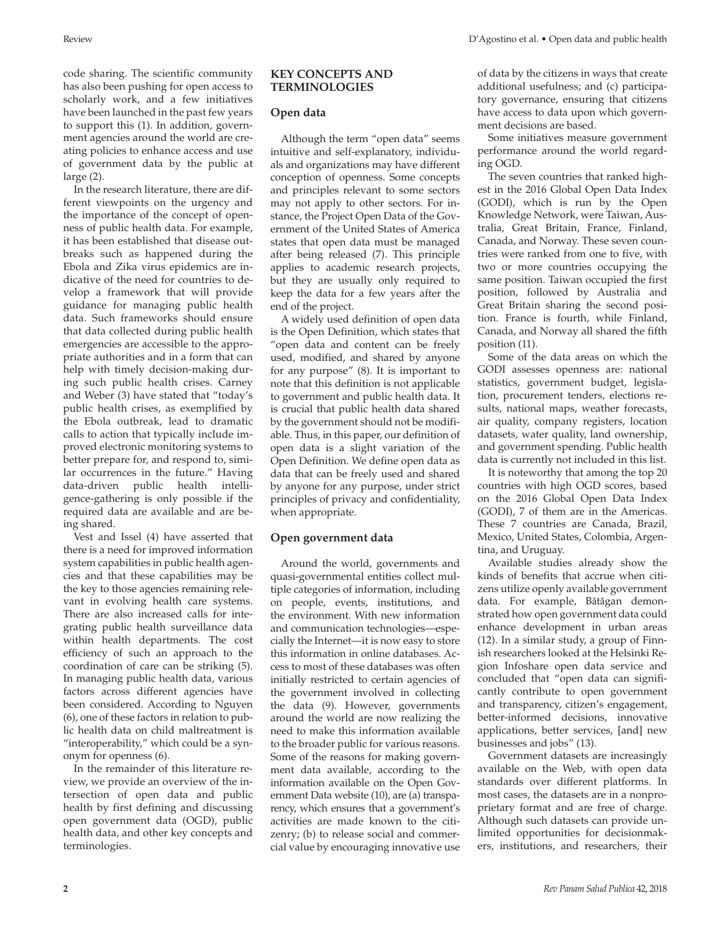code sharing. The scientific community has also been pushing for open access to scholarly work, and a few initiatives have been launched in the past few years to support this (1). In addition, government agencies around the world are creating policies to enhance access and use of government data by the public at large (2).

In the research literature, there are different viewpoints on the urgency and the importance of the concept of openness of public health data. For example, it has been established that disease outbreaks such as happened during the Ebola and Zika virus epidemics are indicative of the need for countries to develop a framework that will provide guidance for managing public health data. Such frameworks should ensure that data collected during public health emergencies are accessible to the appropriate authorities and in a form that can help with timely decision-making during such public health crises. Carney and Weber (3) have stated that "today's public health crises, as exemplified by the Ebola outbreak, lead to dramatic calls to action that typically include improved electronic monitoring systems to better prepare for, and respond to, similar occurrences in the future." Having data-driven public health intelligence-gathering is only possible if the required data are available and are being shared.

Vest and Issel (4) have asserted that there is a need for improved information system capabilities in public health agencies and that these capabilities may be the key to those agencies remaining relevant in evolving health care systems. There are also increased calls for integrating public health surveillance data within health departments. The cost efficiency of such an approach to the coordination of care can be striking (5). In managing public health data, various factors across different agencies have been considered. According to Nguyen (6), one of these factors in relation to public health data on child maltreatment is "interoperability," which could be a synonym for openness (6).

In the remainder of this literature review, we provide an overview of the intersection of open data and public health by first defining and discussing open government data (OGD), public health data, and other key concepts and terminologies.

#### **KEY CONCEPTS AND TERMINOLOGIES**

#### **Open data**

Although the term "open data" seems intuitive and self-explanatory, individuals and organizations may have different conception of openness. Some concepts and principles relevant to some sectors may not apply to other sectors. For instance, the Project Open Data of the Government of the United States of America states that open data must be managed after being released (7). This principle applies to academic research projects, but they are usually only required to keep the data for a few years after the end of the project.

A widely used definition of open data is the Open Definition, which states that "open data and content can be freely used, modified, and shared by anyone for any purpose" (8). It is important to note that this definition is not applicable to government and public health data. It is crucial that public health data shared by the government should not be modifiable. Thus, in this paper, our definition of open data is a slight variation of the Open Definition. We define open data as data that can be freely used and shared by anyone for any purpose, under strict principles of privacy and confidentiality, when appropriate.

### **Open government data**

Around the world, governments and quasi-governmental entities collect multiple categories of information, including on people, events, institutions, and the environment. With new information and communication technologies—especially the Internet—it is now easy to store this information in online databases. Access to most of these databases was often initially restricted to certain agencies of the government involved in collecting the data (9). However, governments around the world are now realizing the need to make this information available to the broader public for various reasons. Some of the reasons for making government data available, according to the information available on the Open Government Data website (10), are (a) transparency, which ensures that a government's activities are made known to the citizenry; (b) to release social and commercial value by encouraging innovative use

of data by the citizens in ways that create additional usefulness; and (c) participatory governance, ensuring that citizens have access to data upon which government decisions are based.

Some initiatives measure government performance around the world regarding OGD.

The seven countries that ranked highest in the 2016 Global Open Data Index (GODI), which is run by the Open Knowledge Network, were Taiwan, Australia, Great Britain, France, Finland, Canada, and Norway. These seven countries were ranked from one to five, with two or more countries occupying the same position. Taiwan occupied the first position, followed by Australia and Great Britain sharing the second position. France is fourth, while Finland, Canada, and Norway all shared the fifth position (11).

Some of the data areas on which the GODI assesses openness are: national statistics, government budget, legislation, procurement tenders, elections results, national maps, weather forecasts, air quality, company registers, location datasets, water quality, land ownership, and government spending. Public health data is currently not included in this list.

It is noteworthy that among the top 20 countries with high OGD scores, based on the 2016 Global Open Data Index (GODI), 7 of them are in the Americas. These 7 countries are Canada, Brazil, Mexico, United States, Colombia, Argentina, and Uruguay.

Available studies already show the kinds of benefits that accrue when citizens utilize openly available government data. For example, Bătăgan demonstrated how open government data could enhance development in urban areas (12). In a similar study, a group of Finnish researchers looked at the Helsinki Region Infoshare open data service and concluded that "open data can significantly contribute to open government and transparency, citizen's engagement, better-informed decisions, innovative applications, better services, [and] new businesses and jobs" (13).

Government datasets are increasingly available on the Web, with open data standards over different platforms. In most cases, the datasets are in a nonproprietary format and are free of charge. Although such datasets can provide unlimited opportunities for decisionmakers, institutions, and researchers, their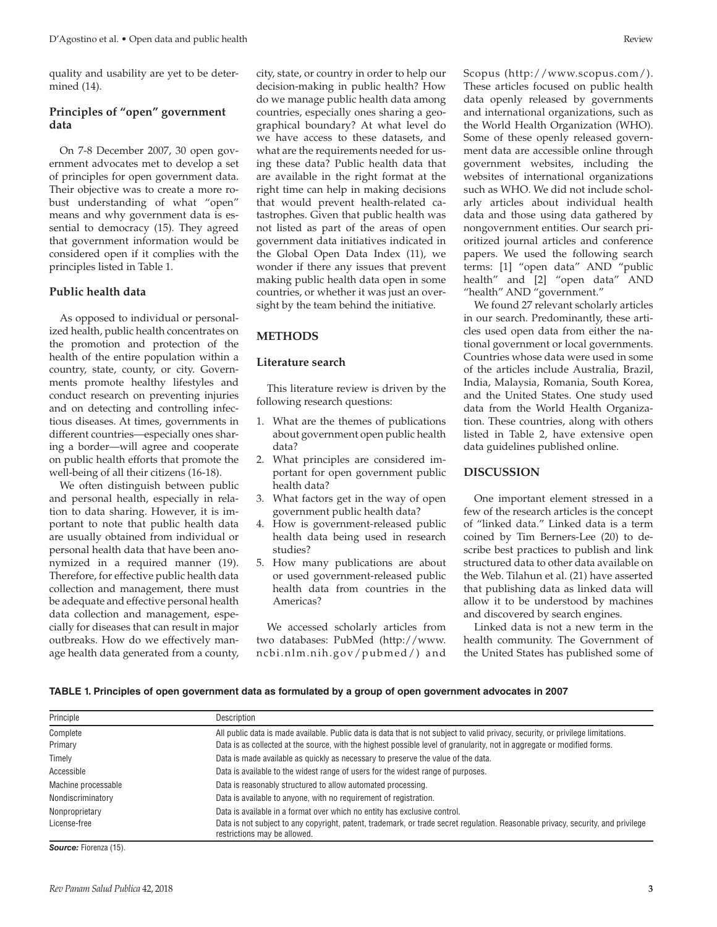quality and usability are yet to be determined (14).

#### **Principles of "open" government data**

On 7-8 December 2007, 30 open government advocates met to develop a set of principles for open government data. Their objective was to create a more robust understanding of what "open" means and why government data is essential to democracy (15). They agreed that government information would be considered open if it complies with the principles listed in Table 1.

#### **Public health data**

As opposed to individual or personalized health, public health concentrates on the promotion and protection of the health of the entire population within a country, state, county, or city. Governments promote healthy lifestyles and conduct research on preventing injuries and on detecting and controlling infectious diseases. At times, governments in different countries—especially ones sharing a border—will agree and cooperate on public health efforts that promote the well-being of all their citizens (16-18).

We often distinguish between public and personal health, especially in relation to data sharing. However, it is important to note that public health data are usually obtained from individual or personal health data that have been anonymized in a required manner (19). Therefore, for effective public health data collection and management, there must be adequate and effective personal health data collection and management, especially for diseases that can result in major outbreaks. How do we effectively manage health data generated from a county,

city, state, or country in order to help our decision-making in public health? How do we manage public health data among countries, especially ones sharing a geographical boundary? At what level do we have access to these datasets, and what are the requirements needed for using these data? Public health data that are available in the right format at the right time can help in making decisions that would prevent health-related catastrophes. Given that public health was not listed as part of the areas of open government data initiatives indicated in the Global Open Data Index (11), we wonder if there any issues that prevent making public health data open in some countries, or whether it was just an oversight by the team behind the initiative.

#### **METHODS**

#### **Literature search**

This literature review is driven by the following research questions:

- 1. What are the themes of publications about government open public health data?
- 2. What principles are considered important for open government public health data?
- 3. What factors get in the way of open government public health data?
- How is government-released public health data being used in research studies?
- 5. How many publications are about or used government-released public health data from countries in the Americas?

We accessed scholarly articles from two databases: PubMed [\(http://www.](http://www.ncbi.nlm.nih.gov/pubmed/) [ncbi.nlm.nih.gov/pubmed/](http://www.ncbi.nlm.nih.gov/pubmed/)) and

Scopus (<http://www.scopus.com/>). These articles focused on public health data openly released by governments and international organizations, such as the World Health Organization (WHO). Some of these openly released government data are accessible online through government websites, including the websites of international organizations such as WHO. We did not include scholarly articles about individual health data and those using data gathered by nongovernment entities. Our search prioritized journal articles and conference papers. We used the following search terms: [1] "open data" AND "public health" and [2] "open data" AND "health" AND "government."

We found 27 relevant scholarly articles in our search. Predominantly, these articles used open data from either the national government or local governments. Countries whose data were used in some of the articles include Australia, Brazil, India, Malaysia, Romania, South Korea, and the United States. One study used data from the World Health Organization. These countries, along with others listed in Table 2, have extensive open data guidelines published online.

#### **DISCUSSION**

One important element stressed in a few of the research articles is the concept of "linked data." Linked data is a term coined by Tim Berners-Lee (20) to describe best practices to publish and link structured data to other data available on the Web. Tilahun et al. (21) have asserted that publishing data as linked data will allow it to be understood by machines and discovered by search engines.

Linked data is not a new term in the health community. The Government of the United States has published some of

**TABLE 1. Principles of open government data as formulated by a group of open government advocates in 2007** 

| Description                                                                                                                                                      |
|------------------------------------------------------------------------------------------------------------------------------------------------------------------|
| All public data is made available. Public data is data that is not subject to valid privacy, security, or privilege limitations.                                 |
| Data is as collected at the source, with the highest possible level of granularity, not in aggregate or modified forms.                                          |
| Data is made available as quickly as necessary to preserve the value of the data.                                                                                |
| Data is available to the widest range of users for the widest range of purposes.                                                                                 |
| Data is reasonably structured to allow automated processing.                                                                                                     |
| Data is available to anyone, with no requirement of registration.                                                                                                |
| Data is available in a format over which no entity has exclusive control.                                                                                        |
| Data is not subject to any copyright, patent, trademark, or trade secret regulation. Reasonable privacy, security, and privilege<br>restrictions may be allowed. |
|                                                                                                                                                                  |

*Source:* Fiorenza (15).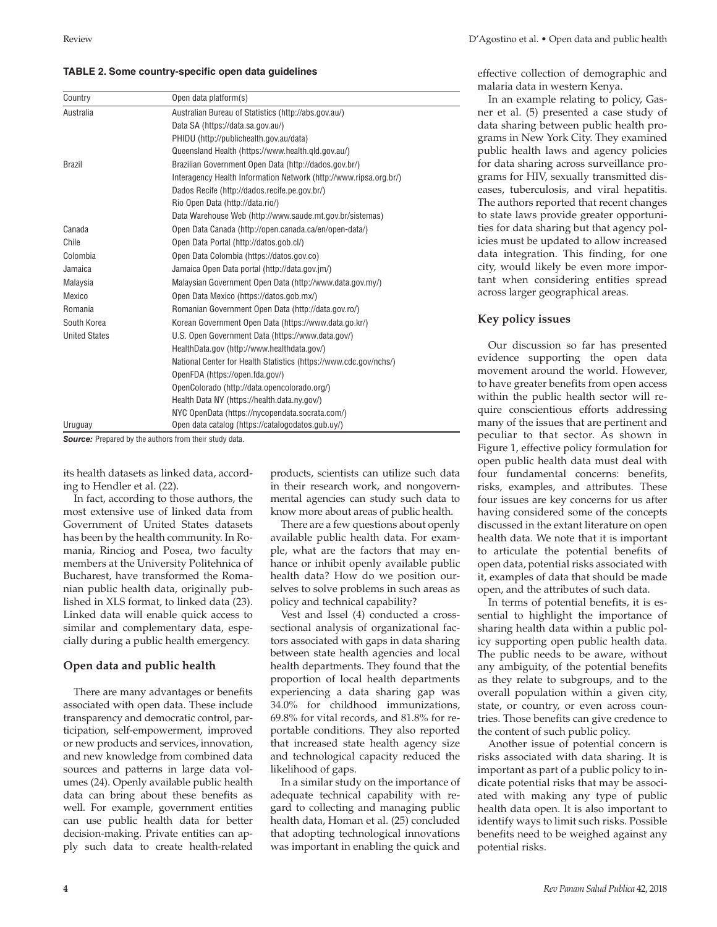|  | TABLE 2. Some country-specific open data guidelines |  |  |
|--|-----------------------------------------------------|--|--|
|--|-----------------------------------------------------|--|--|

| Country              | Open data platform(s)                                             |  |
|----------------------|-------------------------------------------------------------------|--|
| Australia            | Australian Bureau of Statistics (http://abs.gov.au/)              |  |
|                      | Data SA (https://data.sa.gov.au/)                                 |  |
|                      | PHIDU (http://publichealth.gov.au/data)                           |  |
|                      | Queensland Health (https://www.health.gld.gov.au/)                |  |
| <b>Brazil</b>        | Brazilian Government Open Data (http://dados.gov.br/)             |  |
|                      | Interagency Health Information Network (http://www.ripsa.org.br/) |  |
|                      | Dados Recife (http://dados.recife.pe.gov.br/)                     |  |
|                      | Rio Open Data (http://data.rio/)                                  |  |
|                      | Data Warehouse Web (http://www.saude.mt.gov.br/sistemas)          |  |
| Canada               | Open Data Canada (http://open.canada.ca/en/open-data/)            |  |
| Chile                | Open Data Portal (http://datos.gob.cl/)                           |  |
| Colombia             | Open Data Colombia (https://datos.gov.co)                         |  |
| Jamaica              | Jamaica Open Data portal (http://data.gov.jm/)                    |  |
| Malaysia             | Malaysian Government Open Data (http://www.data.gov.my/)          |  |
| Mexico               | Open Data Mexico (https://datos.gob.mx/)                          |  |
| Romania              | Romanian Government Open Data (http://data.gov.ro/)               |  |
| South Korea          | Korean Government Open Data (https://www.data.go.kr/)             |  |
| <b>United States</b> | U.S. Open Government Data (https://www.data.gov/)                 |  |
|                      | HealthData.gov (http://www.healthdata.gov/)                       |  |
|                      | National Center for Health Statistics (https://www.cdc.gov/nchs/) |  |
|                      | OpenFDA (https://open.fda.gov/)                                   |  |
|                      | OpenColorado (http://data.opencolorado.org/)                      |  |
|                      | Health Data NY (https://health.data.ny.gov/)                      |  |
|                      | NYC OpenData (https://nycopendata.socrata.com/)                   |  |
| Uruguay              | Open data catalog (https://catalogodatos.gub.uy/)                 |  |

**Source:** Prepared by the authors from their study data.

its health datasets as linked data, according to Hendler et al. (22).

In fact, according to those authors, the most extensive use of linked data from Government of United States datasets has been by the health community. In Romania, Rinciog and Posea, two faculty members at the University Politehnica of Bucharest, have transformed the Romanian public health data, originally published in XLS format, to linked data (23). Linked data will enable quick access to similar and complementary data, especially during a public health emergency.

#### **Open data and public health**

There are many advantages or benefits associated with open data. These include transparency and democratic control, participation, self-empowerment, improved or new products and services, innovation, and new knowledge from combined data sources and patterns in large data volumes (24). Openly available public health data can bring about these benefits as well. For example, government entities can use public health data for better decision-making. Private entities can apply such data to create health-related products, scientists can utilize such data in their research work, and nongovernmental agencies can study such data to know more about areas of public health.

There are a few questions about openly available public health data. For example, what are the factors that may enhance or inhibit openly available public health data? How do we position ourselves to solve problems in such areas as policy and technical capability?

Vest and Issel (4) conducted a crosssectional analysis of organizational factors associated with gaps in data sharing between state health agencies and local health departments. They found that the proportion of local health departments experiencing a data sharing gap was 34.0% for childhood immunizations, 69.8% for vital records, and 81.8% for reportable conditions. They also reported that increased state health agency size and technological capacity reduced the likelihood of gaps.

In a similar study on the importance of adequate technical capability with regard to collecting and managing public health data, Homan et al. (25) concluded that adopting technological innovations was important in enabling the quick and

effective collection of demographic and malaria data in western Kenya.

In an example relating to policy, Gasner et al. (5) presented a case study of data sharing between public health programs in New York City. They examined public health laws and agency policies for data sharing across surveillance programs for HIV, sexually transmitted diseases, tuberculosis, and viral hepatitis. The authors reported that recent changes to state laws provide greater opportunities for data sharing but that agency policies must be updated to allow increased data integration. This finding, for one city, would likely be even more important when considering entities spread across larger geographical areas.

#### **Key policy issues**

Our discussion so far has presented evidence supporting the open data movement around the world. However, to have greater benefits from open access within the public health sector will require conscientious efforts addressing many of the issues that are pertinent and peculiar to that sector. As shown in Figure 1, effective policy formulation for open public health data must deal with four fundamental concerns: benefits, risks, examples, and attributes. These four issues are key concerns for us after having considered some of the concepts discussed in the extant literature on open health data. We note that it is important to articulate the potential benefits of open data, potential risks associated with it, examples of data that should be made open, and the attributes of such data.

In terms of potential benefits, it is essential to highlight the importance of sharing health data within a public policy supporting open public health data. The public needs to be aware, without any ambiguity, of the potential benefits as they relate to subgroups, and to the overall population within a given city, state, or country, or even across countries. Those benefits can give credence to the content of such public policy.

Another issue of potential concern is risks associated with data sharing. It is important as part of a public policy to indicate potential risks that may be associated with making any type of public health data open. It is also important to identify ways to limit such risks. Possible benefits need to be weighed against any potential risks.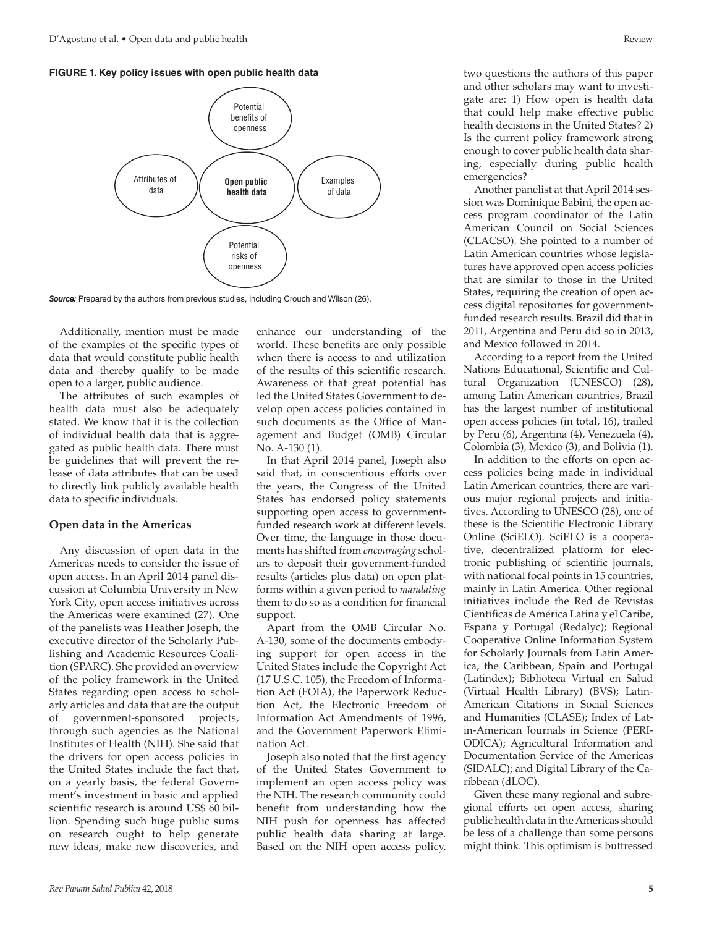#### **FIGURE 1. Key policy issues with open public health data**



*Source:* Prepared by the authors from previous studies, including Crouch and Wilson (26).

Additionally, mention must be made of the examples of the specific types of data that would constitute public health data and thereby qualify to be made open to a larger, public audience.

The attributes of such examples of health data must also be adequately stated. We know that it is the collection of individual health data that is aggregated as public health data. There must be guidelines that will prevent the release of data attributes that can be used to directly link publicly available health data to specific individuals.

#### **Open data in the Americas**

Any discussion of open data in the Americas needs to consider the issue of open access. In an April 2014 panel discussion at Columbia University in New York City, open access initiatives across the Americas were examined (27). One of the panelists was Heather Joseph, the executive director of the Scholarly Publishing and Academic Resources Coalition (SPARC). She provided an overview of the policy framework in the United States regarding open access to scholarly articles and data that are the output of government-sponsored projects, through such agencies as the National Institutes of Health (NIH). She said that the drivers for open access policies in the United States include the fact that, on a yearly basis, the federal Government's investment in basic and applied scientific research is around US\$ 60 billion. Spending such huge public sums on research ought to help generate new ideas, make new discoveries, and

enhance our understanding of the world. These benefits are only possible when there is access to and utilization of the results of this scientific research. Awareness of that great potential has led the United States Government to develop open access policies contained in such documents as the Office of Management and Budget (OMB) Circular No. A-130 (1).

In that April 2014 panel, Joseph also said that, in conscientious efforts over the years, the Congress of the United States has endorsed policy statements supporting open access to governmentfunded research work at different levels. Over time, the language in those documents has shifted from *encouraging* scholars to deposit their government-funded results (articles plus data) on open platforms within a given period to *mandating* them to do so as a condition for financial support.

Apart from the OMB Circular No. A-130, some of the documents embodying support for open access in the United States include the Copyright Act (17 U.S.C. 105), the Freedom of Information Act (FOIA), the Paperwork Reduction Act, the Electronic Freedom of Information Act Amendments of 1996, and the Government Paperwork Elimination Act.

Joseph also noted that the first agency of the United States Government to implement an open access policy was the NIH. The research community could benefit from understanding how the NIH push for openness has affected public health data sharing at large. Based on the NIH open access policy,

two questions the authors of this paper and other scholars may want to investigate are: 1) How open is health data that could help make effective public health decisions in the United States? 2) Is the current policy framework strong enough to cover public health data sharing, especially during public health emergencies?

Another panelist at that April 2014 session was Dominique Babini, the open access program coordinator of the Latin American Council on Social Sciences (CLACSO). She pointed to a number of Latin American countries whose legislatures have approved open access policies that are similar to those in the United States, requiring the creation of open access digital repositories for governmentfunded research results. Brazil did that in 2011, Argentina and Peru did so in 2013, and Mexico followed in 2014.

According to a report from the United Nations Educational, Scientific and Cultural Organization (UNESCO) (28), among Latin American countries, Brazil has the largest number of institutional open access policies (in total, 16), trailed by Peru (6), Argentina (4), Venezuela (4), Colombia (3), Mexico (3), and Bolivia (1).

In addition to the efforts on open access policies being made in individual Latin American countries, there are various major regional projects and initiatives. According to UNESCO (28), one of these is the Scientific Electronic Library Online (SciELO). SciELO is a cooperative, decentralized platform for electronic publishing of scientific journals, with national focal points in 15 countries, mainly in Latin America. Other regional initiatives include the Red de Revistas Científicas de América Latina y el Caribe, España y Portugal (Redalyc); Regional Cooperative Online Information System for Scholarly Journals from Latin America, the Caribbean, Spain and Portugal (Latindex); Biblioteca Virtual en Salud (Virtual Health Library) (BVS); Latin-American Citations in Social Sciences and Humanities (CLASE); Index of Latin-American Journals in Science (PERI-ODICA); Agricultural Information and Documentation Service of the Americas (SIDALC); and Digital Library of the Caribbean (dLOC).

Given these many regional and subregional efforts on open access, sharing public health data in the Americas should be less of a challenge than some persons might think. This optimism is buttressed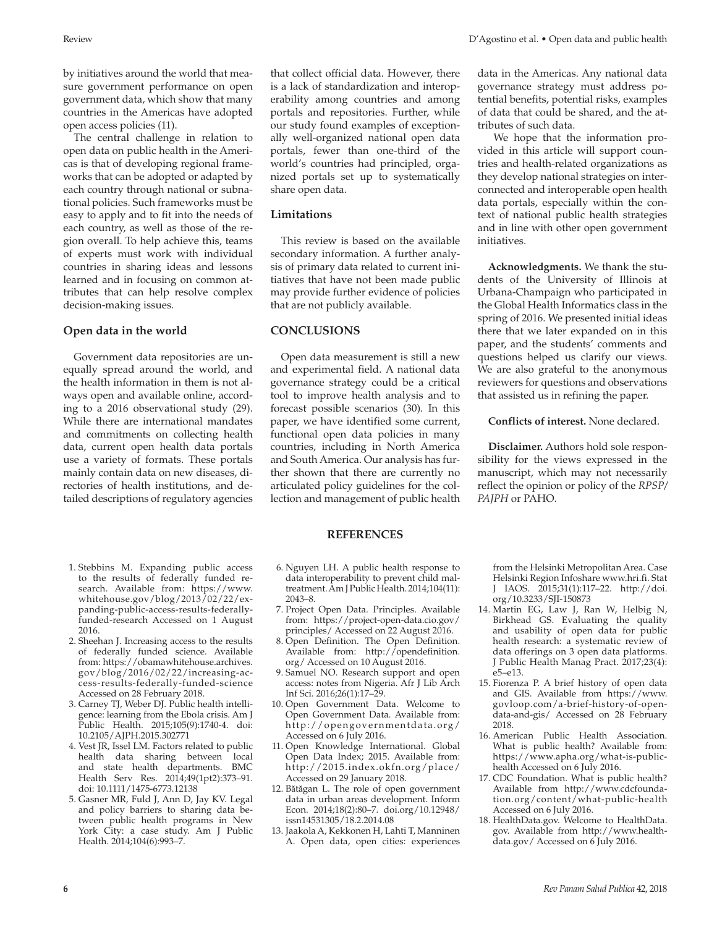by initiatives around the world that measure government performance on open government data, which show that many countries in the Americas have adopted open access policies (11).

The central challenge in relation to open data on public health in the Americas is that of developing regional frameworks that can be adopted or adapted by each country through national or subnational policies. Such frameworks must be easy to apply and to fit into the needs of each country, as well as those of the region overall. To help achieve this, teams of experts must work with individual countries in sharing ideas and lessons learned and in focusing on common attributes that can help resolve complex decision-making issues.

#### **Open data in the world**

Government data repositories are unequally spread around the world, and the health information in them is not always open and available online, according to a 2016 observational study (29). While there are international mandates and commitments on collecting health data, current open health data portals use a variety of formats. These portals mainly contain data on new diseases, directories of health institutions, and detailed descriptions of regulatory agencies

- 1. Stebbins M. Expanding public access to the results of federally funded research. Available from: [https://www.](https://www.whitehouse.gov/blog/2013/02/22/expanding-public-access-results-federally-funded-research) [whitehouse.gov/blog/2013/02/22/ex](https://www.whitehouse.gov/blog/2013/02/22/expanding-public-access-results-federally-funded-research)[panding-public-access-results-federally](https://www.whitehouse.gov/blog/2013/02/22/expanding-public-access-results-federally-funded-research)[funded-research](https://www.whitehouse.gov/blog/2013/02/22/expanding-public-access-results-federally-funded-research) Accessed on 1 August 2016.
- 2. Sheehan J. Increasing access to the results of federally funded science. Available from: [https://obamawhitehouse.archives.](https://obamawhitehouse.archives.gov/blog/2016/02/22/increasing-access-results-federally-funded-science) [gov/blog/2016/02/22/increasing-ac](https://obamawhitehouse.archives.gov/blog/2016/02/22/increasing-access-results-federally-funded-science)[cess-results-federally-funded-science](https://obamawhitehouse.archives.gov/blog/2016/02/22/increasing-access-results-federally-funded-science) Accessed on 28 February 2018.
- 3. Carney TJ, Weber DJ. Public health intelligence: learning from the Ebola crisis. Am J Public Health. 2015;105(9):1740-4. doi: 10.2105/AJPH.2015.302771
- 4. Vest JR, Issel LM. Factors related to public health data sharing between local and state health departments. BMC Health Serv Res. 2014;49(1pt2):373–91. doi: 10.1111/1475-6773.12138
- 5. Gasner MR, Fuld J, Ann D, Jay KV. Legal and policy barriers to sharing data between public health programs in New York City: a case study. Am J Public Health. 2014;104(6):993–7.

that collect official data. However, there is a lack of standardization and interoperability among countries and among portals and repositories. Further, while our study found examples of exceptionally well-organized national open data portals, fewer than one-third of the world's countries had principled, organized portals set up to systematically share open data.

#### **Limitations**

This review is based on the available secondary information. A further analysis of primary data related to current initiatives that have not been made public may provide further evidence of policies that are not publicly available.

### **CONCLUSIONS**

Open data measurement is still a new and experimental field. A national data governance strategy could be a critical tool to improve health analysis and to forecast possible scenarios (30). In this paper, we have identified some current, functional open data policies in many countries, including in North America and South America. Our analysis has further shown that there are currently no articulated policy guidelines for the collection and management of public health

#### **REFERENCES**

- 6. Nguyen LH. A public health response to data interoperability to prevent child maltreatment. Am J Public Health. 2014;104(11): 2043–8.
- 7. Project Open Data. Principles. Available from: [https://project-open-data.cio.gov/](https://project-open-data.cio.gov/principles/) [principles/](https://project-open-data.cio.gov/principles/) Accessed on 22 August 2016.
- 8. Open Definition. The Open Definition. Available from: [http://opendefinition.](http://opendefinition.org/) [org/](http://opendefinition.org/) Accessed on 10 August 2016.
- 9. Samuel NO. Research support and open access: notes from Nigeria. Afr J Lib Arch Inf Sci. 2016;26(1):17–29.
- 10. Open Government Data. Welcome to Open Government Data. Available from: <http://opengovernmentdata.org/> Accessed on 6 July 2016.
- 11. Open Knowledge International. Global Open Data Index; 2015. Available from: <http://2015.index.okfn.org/place/> Accessed on 29 January 2018.
- 12. Bătăgan L. The role of open government data in urban areas development. Inform Econ. 2014;18(2):80–7. doi.org/10.12948/ issn14531305/18.2.2014.08
- 13. Jaakola A, Kekkonen H, Lahti T, Manninen A. Open data, open cities: experiences

data in the Americas. Any national data governance strategy must address potential benefits, potential risks, examples of data that could be shared, and the attributes of such data.

 We hope that the information provided in this article will support countries and health-related organizations as they develop national strategies on interconnected and interoperable open health data portals, especially within the context of national public health strategies and in line with other open government initiatives.

**Acknowledgments.** We thank the students of the University of Illinois at Urbana-Champaign who participated in the Global Health Informatics class in the spring of 2016. We presented initial ideas there that we later expanded on in this paper, and the students' comments and questions helped us clarify our views. We are also grateful to the anonymous reviewers for questions and observations that assisted us in refining the paper.

#### **Conflicts of interest.** None declared.

**Disclaimer.** Authors hold sole responsibility for the views expressed in the manuscript, which may not necessarily reflect the opinion or policy of the *RPSP/ PAJPH* or PAHO.

from the Helsinki Metropolitan Area. Case Helsinki Region Infoshare [www.hri.fi.](www.hri.fi) Stat J IAOS. 2015;31(1):117–22. [http://doi.](http://doi.org/10.3233/SJI-150873) [org/10.3233/SJI-150873](http://doi.org/10.3233/SJI-150873)

- 14. Martin EG, Law J, Ran W, Helbig N, Birkhead GS. Evaluating the quality and usability of open data for public health research: a systematic review of data offerings on 3 open data platforms. J Public Health Manag Pract. 2017;23(4): e5–e13.
- 15. Fiorenza P. A brief history of open data and GIS. Available from [https://www.](https://www.govloop.com/a-brief-history-of-open-data-and-gis/) [govloop.com/a-brief-history-of-open](https://www.govloop.com/a-brief-history-of-open-data-and-gis/)[data-and-gis/](https://www.govloop.com/a-brief-history-of-open-data-and-gis/) Accessed on 28 February 2018.
- 16. American Public Health Association. What is public health? Available from: [https://www.apha.org/what-is-public](https://www.apha.org/what-is-public-health)[health](https://www.apha.org/what-is-public-health) Accessed on 6 July 2016.
- 17. CDC Foundation. What is public health? Available from [http://www.cdcfounda](http://www.cdcfoundation.org/content/what-public-health)[tion.org/content/what-public-health](http://www.cdcfoundation.org/content/what-public-health) Accessed on 6 July 2016.
- 18. HealthData.gov. Welcome to HealthData. gov. Available from [http://www.health](http://www.healthdata.gov/)[data.gov/](http://www.healthdata.gov/) Accessed on 6 July 2016.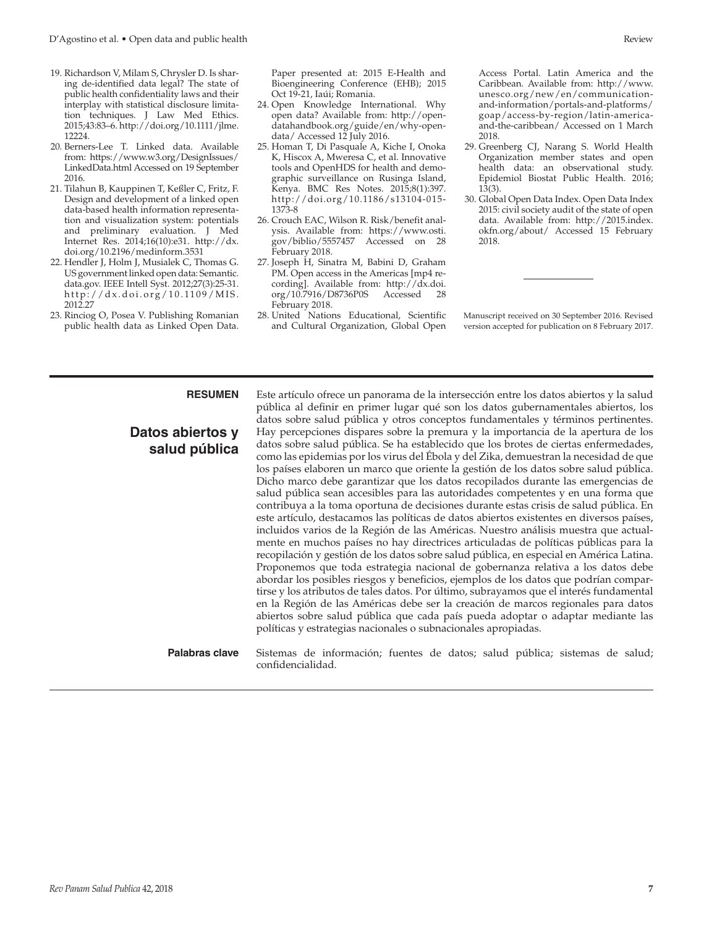- 19. Richardson V, Milam S, Chrysler D. Is sharing de-identified data legal? The state of public health confidentiality laws and their interplay with statistical disclosure limitation techniques. J Law Med Ethics. 2015;43:83–6. [http://doi.org/10.1111/jlme.](http://doi.org/10.1111/jlme.12224) [12224.](http://doi.org/10.1111/jlme.12224)
- 20. Berners-Lee T. Linked data. Available from: [https://www.w3.org/DesignIssues/](https://www.w3.org/DesignIssues/LinkedData.html) [LinkedData.html](https://www.w3.org/DesignIssues/LinkedData.html) Accessed on 19 September 2016.
- 21. Tilahun B, Kauppinen T, Keßler C, Fritz, F. Design and development of a linked open data-based health information representation and visualization system: potentials and preliminary evaluation. J Med Internet Res. 2014;16(10):e31. [http://dx.](http://dx.doi.org/10.2196/medinform.3531) [doi.org/10.2196/medinform.3531](http://dx.doi.org/10.2196/medinform.3531)
- 22. Hendler J, Holm J, Musialek C, Thomas G. US government linked open data: Semantic. data.gov. IEEE Intell Syst. 2012;27(3):25-31. [http://dx.doi.org/10.1109/MIS.](http://dx.doi.org/10.1109/MIS.2012.27) [2012.27](http://dx.doi.org/10.1109/MIS.2012.27)
- 23. Rinciog O, Posea V. Publishing Romanian public health data as Linked Open Data.

Paper presented at: 2015 E-Health and Bioengineering Conference (EHB); 2015 Oct 19-21, Iaúi; Romania.

- 24. Open Knowledge International. Why open data? Available from: [http://open](http://opendatahandbook.org/guide/en/why-open-data/)[datahandbook.org/guide/en/why-open](http://opendatahandbook.org/guide/en/why-open-data/)[data/](http://opendatahandbook.org/guide/en/why-open-data/) Accessed 12 July 2016.
- 25. Homan T, Di Pasquale A, Kiche I, Onoka K, Hiscox A, Mweresa C, et al. Innovative tools and OpenHDS for health and demographic surveillance on Rusinga Island, Kenya. BMC Res Notes. 2015;8(1):397. [http://doi.org/10.1186/s13104-015-](http://doi.org/10.1186/s13104-015-1373-8) [1373-8](http://doi.org/10.1186/s13104-015-1373-8)
- 26. Crouch EAC, Wilson R. Risk/benefit analysis. Available from: [https://www.osti.](https://www.osti.gov/biblio/5557457) [gov/biblio/5557457](https://www.osti.gov/biblio/5557457) Accessed on 28 February 2018.
- 27. Joseph H, Sinatra M, Babini D, Graham PM. Open access in the Americas [mp4 recording]. Available from: [http://dx.doi.](http://dx.doi.org/10.7916/D8736P0S) [org/10.7916/D8736P0S](http://dx.doi.org/10.7916/D8736P0S) Accessed 28 February 2018.
- 28. United Nations Educational, Scientific and Cultural Organization, Global Open

Access Portal. Latin America and the Caribbean. Available from: [http://www.](http://www.unesco.org/new/en/communication-and-information/portals-and-platforms/goap/access-by-region/latin-america-and-the-caribbean/) [unesco.org/new/en/communication](http://www.unesco.org/new/en/communication-and-information/portals-and-platforms/goap/access-by-region/latin-america-and-the-caribbean/)[and-information/portals-and-platforms/](http://www.unesco.org/new/en/communication-and-information/portals-and-platforms/goap/access-by-region/latin-america-and-the-caribbean/) [goap/access-by-region/latin-america](http://www.unesco.org/new/en/communication-and-information/portals-and-platforms/goap/access-by-region/latin-america-and-the-caribbean/)[and-the-caribbean/](http://www.unesco.org/new/en/communication-and-information/portals-and-platforms/goap/access-by-region/latin-america-and-the-caribbean/) Accessed on 1 March 2018.

- 29. Greenberg CJ, Narang S. World Health Organization member states and open health data: an observational study. Epidemiol Biostat Public Health. 2016; 13(3).
- 30. Global Open Data Index. Open Data Index 2015: civil society audit of the state of open data. Available from: [http://2015.index.](http://2015.index.okfn.org/about/) [okfn.org/about/](http://2015.index.okfn.org/about/) Accessed 15 February 2018.

Manuscript received on 30 September 2016. Revised version accepted for publication on 8 February 2017.

## **Datos abiertos y salud pública**

**RESUMEN** Este artículo ofrece un panorama de la intersección entre los datos abiertos y la salud pública al definir en primer lugar qué son los datos gubernamentales abiertos, los datos sobre salud pública y otros conceptos fundamentales y términos pertinentes. Hay percepciones dispares sobre la premura y la importancia de la apertura de los datos sobre salud pública. Se ha establecido que los brotes de ciertas enfermedades, como las epidemias por los virus del Ébola y del Zika, demuestran la necesidad de que los países elaboren un marco que oriente la gestión de los datos sobre salud pública. Dicho marco debe garantizar que los datos recopilados durante las emergencias de salud pública sean accesibles para las autoridades competentes y en una forma que contribuya a la toma oportuna de decisiones durante estas crisis de salud pública. En este artículo, destacamos las políticas de datos abiertos existentes en diversos países, incluidos varios de la Región de las Américas. Nuestro análisis muestra que actualmente en muchos países no hay directrices articuladas de políticas públicas para la recopilación y gestión de los datos sobre salud pública, en especial en América Latina. Proponemos que toda estrategia nacional de gobernanza relativa a los datos debe abordar los posibles riesgos y beneficios, ejemplos de los datos que podrían compartirse y los atributos de tales datos. Por último, subrayamos que el interés fundamental en la Región de las Américas debe ser la creación de marcos regionales para datos abiertos sobre salud pública que cada país pueda adoptar o adaptar mediante las políticas y estrategias nacionales o subnacionales apropiadas.

**Palabras clave** Sistemas de información; fuentes de datos; salud pública; sistemas de salud; confidencialidad.